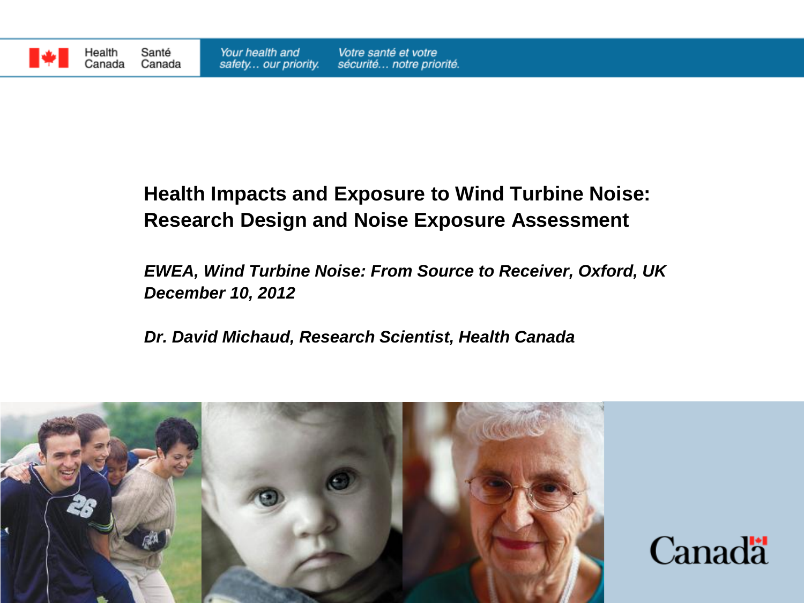

Health

Canada

#### **Health Impacts and Exposure to Wind Turbine Noise: Research Design and Noise Exposure Assessment**

#### *EWEA, Wind Turbine Noise: From Source to Receiver, Oxford, UK December 10, 2012*

*Dr. David Michaud, Research Scientist, Health Canada*



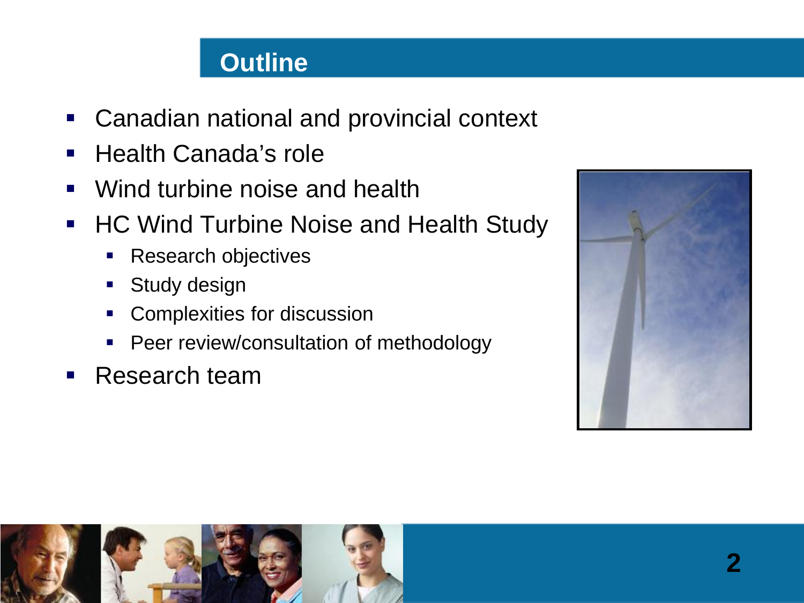### **Outline**

- Canadian national and provincial context
- **Health Canada's role**
- Wind turbine noise and health
- **HC Wind Turbine Noise and Health Study** 
	- Research objectives
	- Study design
	- Complexities for discussion
	- Peer review/consultation of methodology
- **Research team**



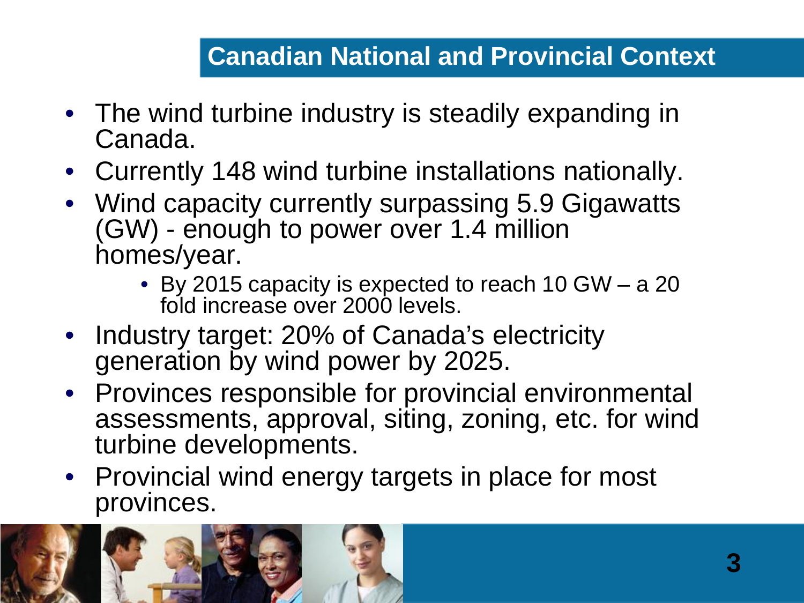## **Canadian National and Provincial Context**

- The wind turbine industry is steadily expanding in Canada.
- Currently 148 wind turbine installations nationally.
- Wind capacity currently surpassing 5.9 Gigawatts (GW) - enough to power over 1.4 million homes/year.
	- By 2015 capacity is expected to reach 10 GW a 20 fold increase over 2000 levels.
- Industry target: 20% of Canada's electricity generation by wind power by 2025.
- Provinces responsible for provincial environmental assessments, approval, siting, zoning, etc. for wind turbine developments.
- Provincial wind energy targets in place for most provinces.

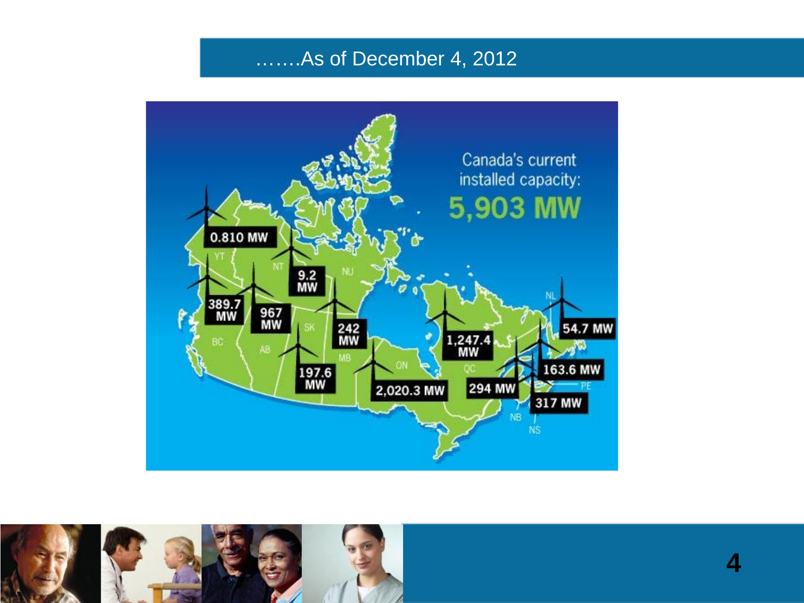#### …….As of December 4, 2012





**4**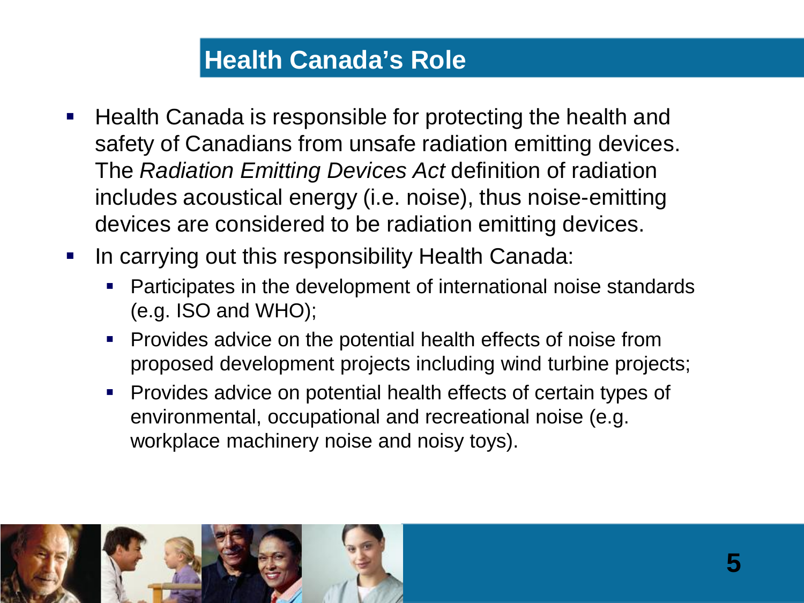## **Health Canada's Role**

- Health Canada is responsible for protecting the health and safety of Canadians from unsafe radiation emitting devices. The *Radiation Emitting Devices Act* definition of radiation includes acoustical energy (i.e. noise), thus noise-emitting devices are considered to be radiation emitting devices.
- **IF In carrying out this responsibility Health Canada:** 
	- Participates in the development of international noise standards (e.g. ISO and WHO);
	- **Provides advice on the potential health effects of noise from** proposed development projects including wind turbine projects;
	- Provides advice on potential health effects of certain types of environmental, occupational and recreational noise (e.g. workplace machinery noise and noisy toys).

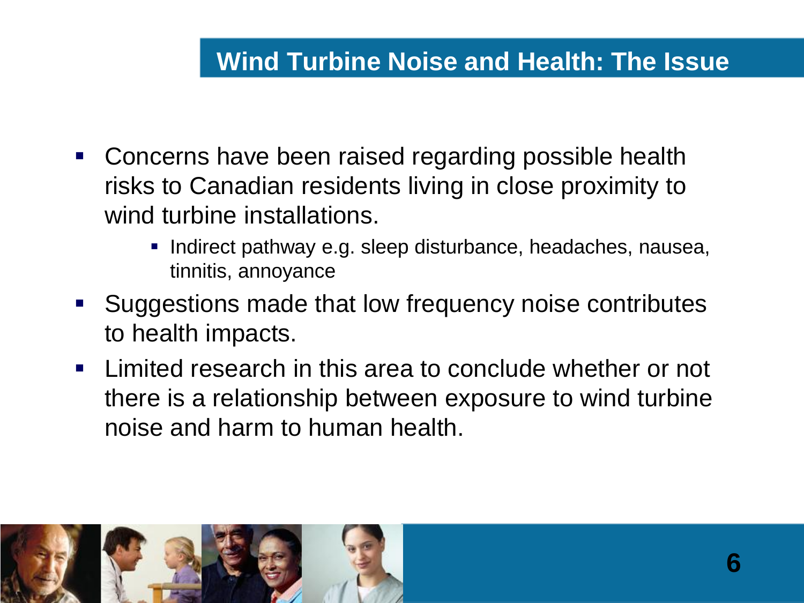### **Wind Turbine Noise and Health: The Issue**

- Concerns have been raised regarding possible health risks to Canadian residents living in close proximity to wind turbine installations.
	- Indirect pathway e.g. sleep disturbance, headaches, nausea, tinnitis, annoyance
- Suggestions made that low frequency noise contributes to health impacts.
- **EXTE.** Limited research in this area to conclude whether or not there is a relationship between exposure to wind turbine noise and harm to human health.

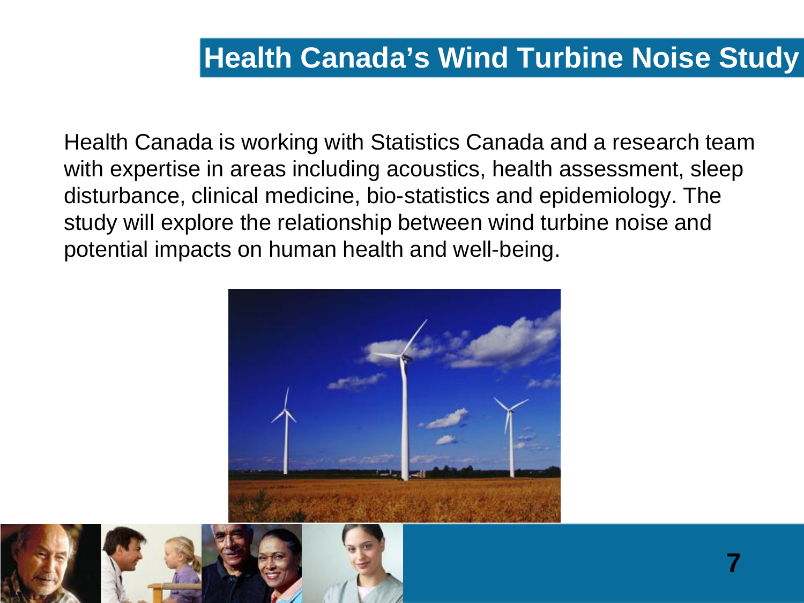Health Canada is working with Statistics Canada and a research team with expertise in areas including acoustics, health assessment, sleep disturbance, clinical medicine, bio-statistics and epidemiology. The study will explore the relationship between wind turbine noise and potential impacts on human health and well-being.



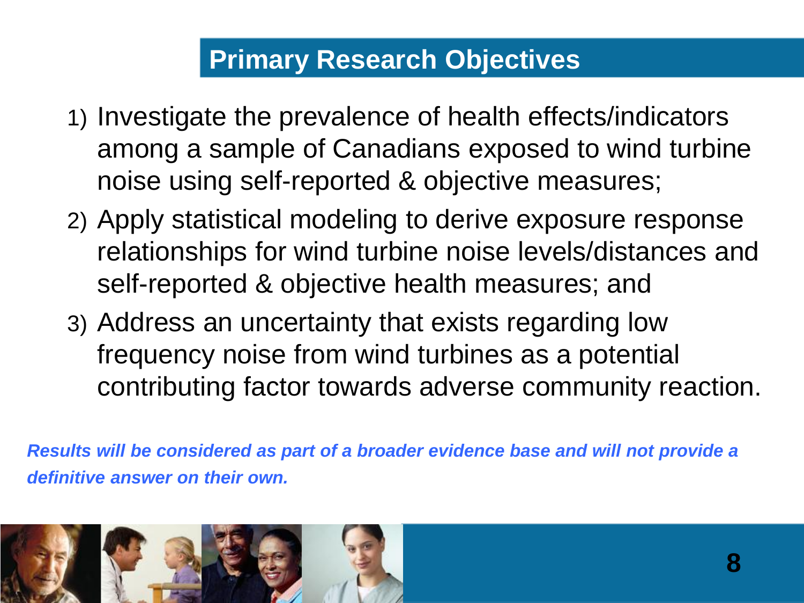## **Primary Research Objectives**

- 1) Investigate the prevalence of health effects/indicators among a sample of Canadians exposed to wind turbine noise using self-reported & objective measures;
- 2) Apply statistical modeling to derive exposure response relationships for wind turbine noise levels/distances and self-reported & objective health measures; and
- 3) Address an uncertainty that exists regarding low frequency noise from wind turbines as a potential contributing factor towards adverse community reaction.

*Results will be considered as part of a broader evidence base and will not provide a definitive answer on their own.*

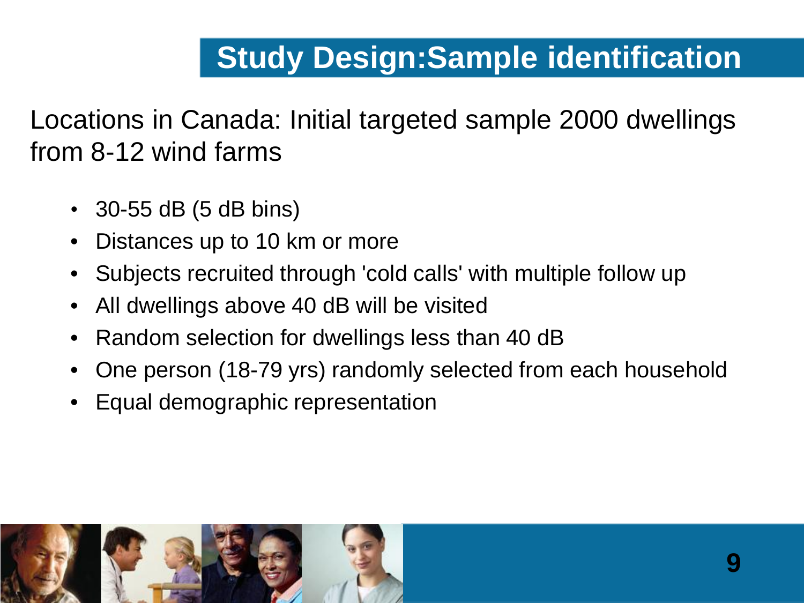# **Study Design:Sample identification**

Locations in Canada: Initial targeted sample 2000 dwellings from 8-12 wind farms

- 30-55 dB (5 dB bins)
- Distances up to 10 km or more
- Subjects recruited through 'cold calls' with multiple follow up
- All dwellings above 40 dB will be visited
- Random selection for dwellings less than 40 dB
- One person (18-79 yrs) randomly selected from each household
- Equal demographic representation

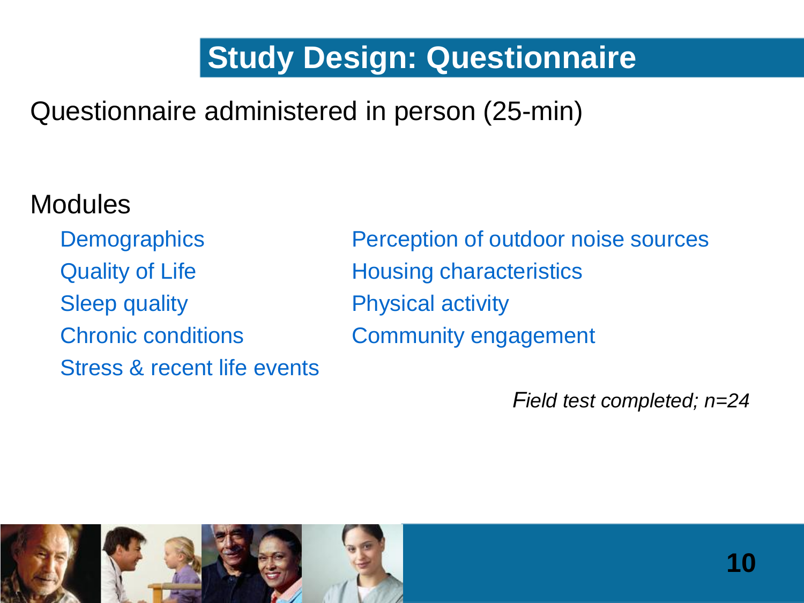# **Study Design: Questionnaire**

# Questionnaire administered in person (25-min)

# **Modules**

Quality of Life **Housing characteristics** Sleep quality **Physical activity** Stress & recent life events

Demographics Perception of outdoor noise sources Chronic conditions Community engagement

*Field test completed; n=24*

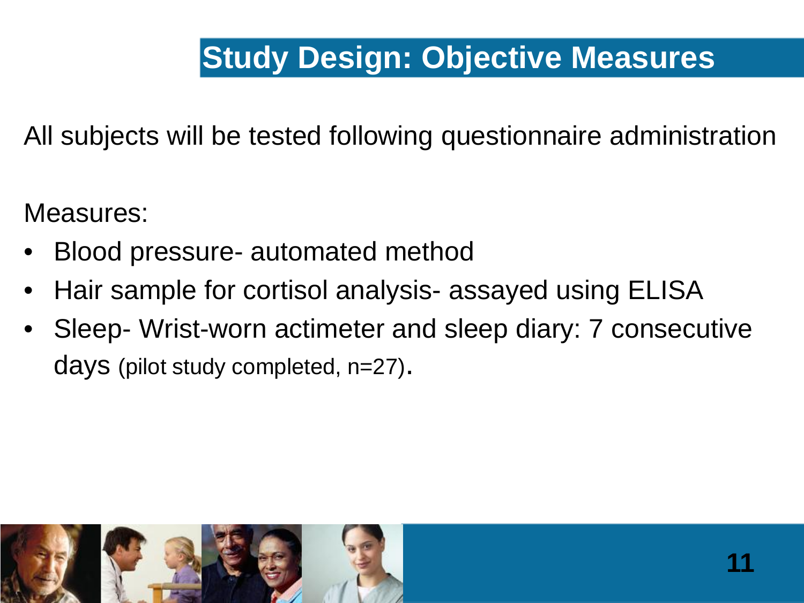# **Study Design: Objective Measures**

All subjects will be tested following questionnaire administration

Measures:

- Blood pressure- automated method
- Hair sample for cortisol analysis- assayed using ELISA
- Sleep- Wrist-worn actimeter and sleep diary: 7 consecutive days (pilot study completed, n=27).

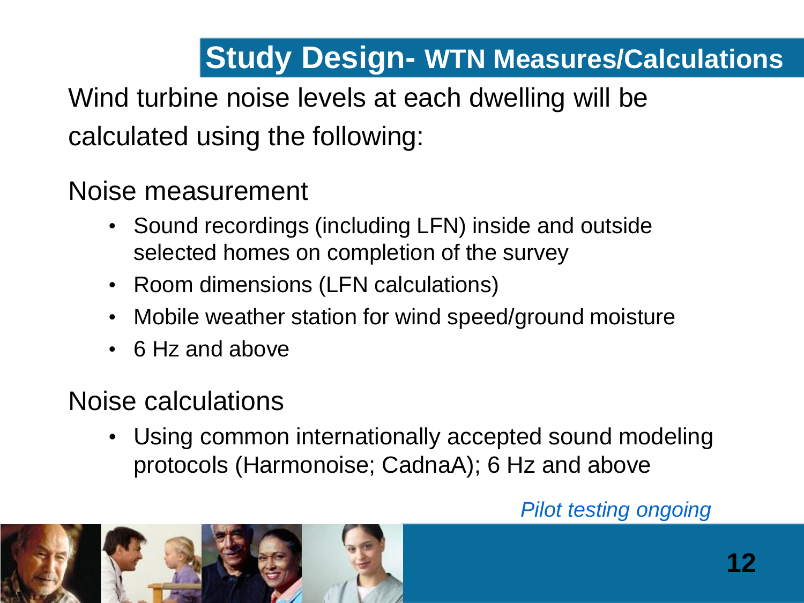# **Study Design- WTN Measures/Calculations**

Wind turbine noise levels at each dwelling will be calculated using the following:

Noise measurement

- Sound recordings (including LFN) inside and outside selected homes on completion of the survey
- Room dimensions (LFN calculations)
- Mobile weather station for wind speed/ground moisture
- 6 Hz and above

# Noise calculations

Using common internationally accepted sound modeling protocols (Harmonoise; CadnaA); 6 Hz and above

#### *Pilot testing ongoing*

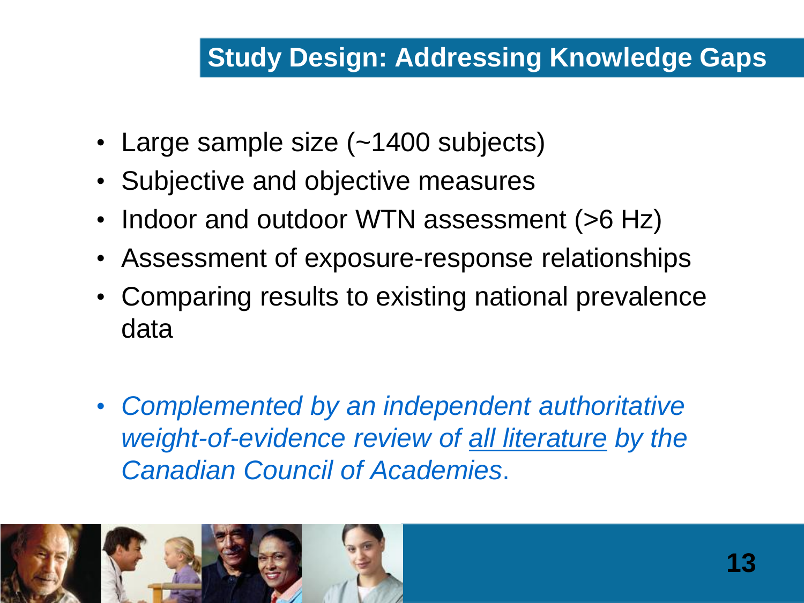# **Study Design: Addressing Knowledge Gaps**

- Large sample size (~1400 subjects)
- Subjective and objective measures
- Indoor and outdoor WTN assessment (>6 Hz)
- Assessment of exposure-response relationships
- Comparing results to existing national prevalence data
- *Complemented by an independent authoritative weight-of-evidence review of all literature by the Canadian Council of Academies*.

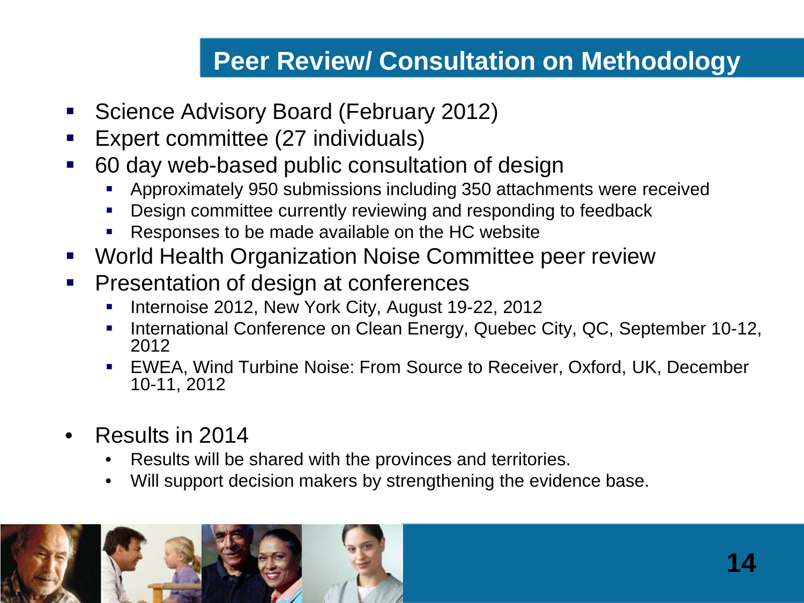## **Peer Review/ Consultation on Methodology**

- **Science Advisory Board (February 2012)**
- **Expert committee (27 individuals)**
- 60 day web-based public consultation of design
	- Approximately 950 submissions including 350 attachments were received
	- Design committee currently reviewing and responding to feedback
	- Responses to be made available on the HC website
- World Health Organization Noise Committee peer review
- **Presentation of design at conferences** 
	- Internoise 2012, New York City, August 19-22, 2012
	- International Conference on Clean Energy, Quebec City, QC, September 10-12, 2012
	- EWEA, Wind Turbine Noise: From Source to Receiver, Oxford, UK, December 10-11, 2012
- Results in 2014
	- Results will be shared with the provinces and territories.
	- Will support decision makers by strengthening the evidence base.

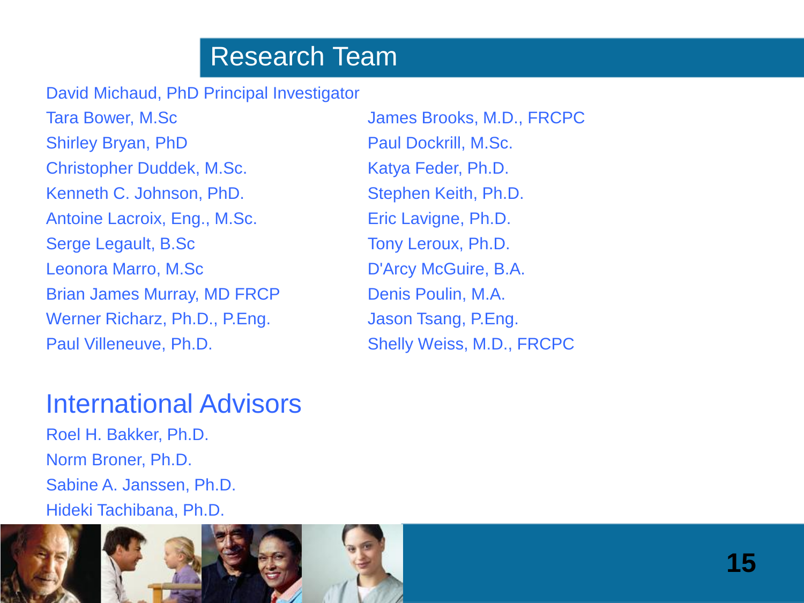## Research Team

David Michaud, PhD Principal Investigator

Tara Bower, M.Sc **Internal Community** James Brooks, M.D., FRCPC Shirley Bryan, PhD Paul Dockrill, M.Sc. Christopher Duddek, M.Sc. Katya Feder, Ph.D. Kenneth C. Johnson, PhD. Stephen Keith, Ph.D. Antoine Lacroix, Eng., M.Sc. Eric Lavigne, Ph.D. Serge Legault, B.Sc Tony Leroux, Ph.D. Leonora Marro, M.Sc D'Arcy McGuire, B.A. Brian James Murray, MD FRCP Denis Poulin, M.A. Werner Richarz, Ph.D., P.Eng. Jason Tsang, P.Eng. Paul Villeneuve, Ph.D. Shelly Weiss, M.D., FRCPC

#### International Advisors

Roel H. Bakker, Ph.D. Norm Broner, Ph.D. Sabine A. Janssen, Ph.D. Hideki Tachibana, Ph.D.